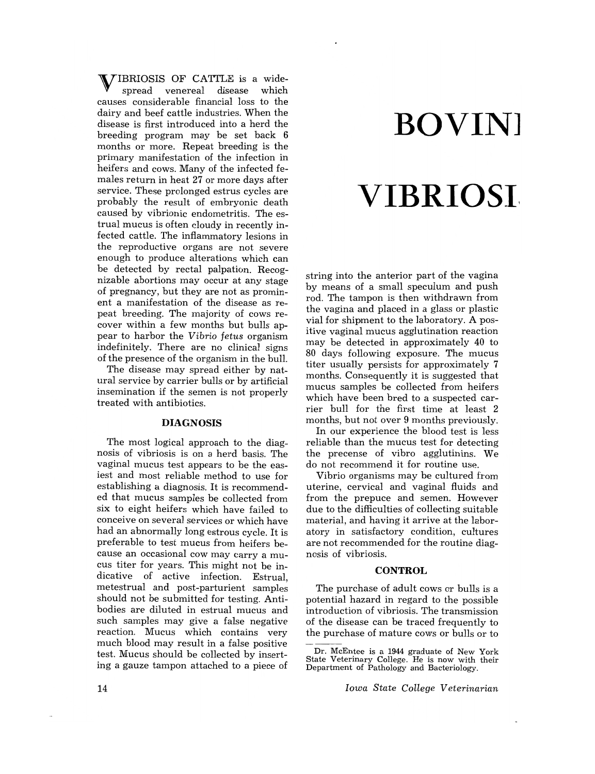VIBRIOSIS OF CATTLE is a widespread venereal disease which causes considerable financial loss to the dairy and beef cattle industries. When the disease is first introduced into a herd the breeding program may be set back 6 months or more. Repeat breeding is the primary manifestation of the infection in heifers and cows. Many of the infected females return in heat 27 or more days after service. These prolonged estrus cycles are probably the result of embryonic death caused by vibrionic endometritis. The estrual mucus is often cloudy in recently infected cattle. The inflammatory lesions in the reproductive organs are not severe enough to produce alterations which can be detected by rectal palpation. Recognizable abortions may occur at any stage of pregnancy, but they are not as prominent a manifestation of the disease as repeat breeding. The majority of cows recover within a few months but bulls appear to harbor the *Vibrio fetus* organism indefinitely. There are no clinical signs of the presence of the organism in the bulL

The disease may spread either by natural service by carrier bulls or by artificial insemination if the semen is not properly treated with antibiotics.

### **DIAGNOSIS**

The most logical approach to the diagnosis of vibriosis is on a herd basis. The vaginal mucus test appears to be the easiest and most reliable method to use for establishing a diagnosis. It is recommended that mucus samples be collected from six to eight heifers which have failed to conceive on several services or which have had an abnormally long estrous cycle. It is preferable to test mucus from heifers because an occasional cow may carry a mucus titer for years. This might not be indicative of active infection. Estrual, metestrual and post-parturient samples should not be submitted for testing. Antibodies are diluted in estrual mucus and such samples may give a false negative reaction. Mucus which contains very much blood may result in a false positive test. Mucus should be collected by inserting a gauze tampon attached to a piece of

# **BOVINJ**

## **VIBRIOSI,**

string into the anterior part of the vagina by means of a small speculum and push rod. The tampon is then withdrawn from the vagina and placed in a glass or plastic vial for shipment to the laboratory. A positive vaginal mucus agglutination reaction may be detected in approximately 40 to 80 days following exposure. The mucus titer usually persists for approximately 7 months. Consequently it is suggested that mucus samples be collected from heifers which have been bred to a suspected carrier bull for the first time at least 2 months, but not over 9 months previously.

In our experience the blood test is less reliable than the mucus test for detecting the precense of vibro agglutinins. We do not recommend it for routine use.

Vibrio organisms may be cultured from uterine, cervical and vaginal fluids and from the prepuce and semen. However due to the difficulties of collecting suitable material, and having it arrive at the laboratory in satisfactory condition, cultures are not recommended for the routine diagnosis of vibriosis.

### **CONTROL**

The purchase of adult cows or bulls is a potential hazard in regard to the possible introduction of vibriosis. The transmission of the disease can be traced frequently to the purchase of mature cows or bulls or to

*Iowa State College Veterinarian* 

Dr. McEntee is a 1944 graduate of New York<br>ate Veterinary College. He is now with their State Veterinary College. He is now with their<br>Department of Pathology and Bacteriology Department of Pathology and Bacteriology.